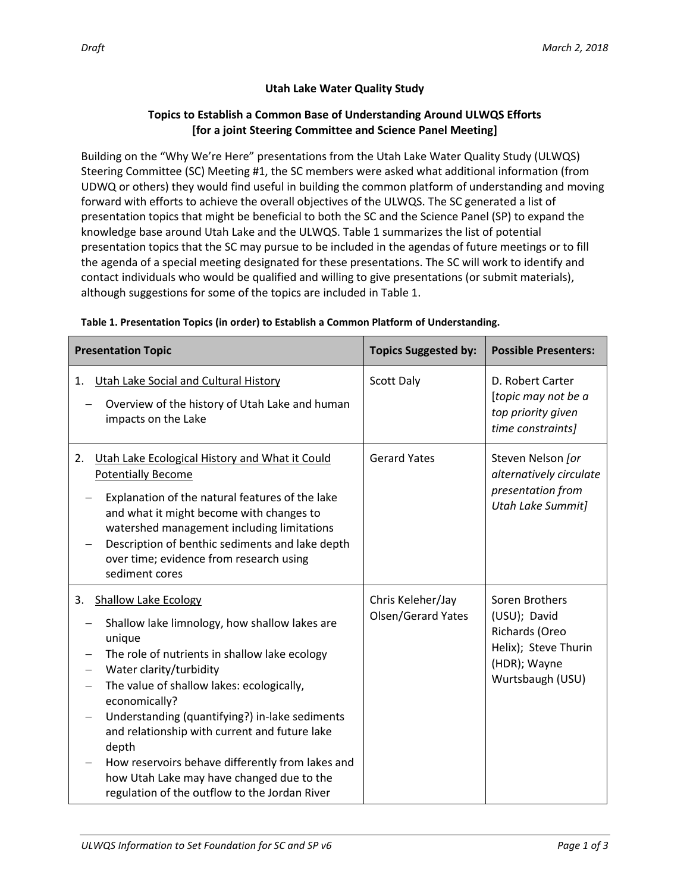## **Topics to Establish a Common Base of Understanding Around ULWQS Efforts [for a joint Steering Committee and Science Panel Meeting]**

Building on the "Why We're Here" presentations from the Utah Lake Water Quality Study (ULWQS) Steering Committee (SC) Meeting #1, the SC members were asked what additional information (from UDWQ or others) they would find useful in building the common platform of understanding and moving forward with efforts to achieve the overall objectives of the ULWQS. The SC generated a list of presentation topics that might be beneficial to both the SC and the Science Panel (SP) to expand the knowledge base around Utah Lake and the ULWQS. Table 1 summarizes the list of potential presentation topics that the SC may pursue to be included in the agendas of future meetings or to fill the agenda of a special meeting designated for these presentations. The SC will work to identify and contact individuals who would be qualified and willing to give presentations (or submit materials), although suggestions for some of the topics are included in Table 1.

| <b>Presentation Topic</b>                                                                                                                                                                                                                                                                                                                                                                                                                                                                                                 | <b>Topics Suggested by:</b>             | <b>Possible Presenters:</b>                                                                                  |
|---------------------------------------------------------------------------------------------------------------------------------------------------------------------------------------------------------------------------------------------------------------------------------------------------------------------------------------------------------------------------------------------------------------------------------------------------------------------------------------------------------------------------|-----------------------------------------|--------------------------------------------------------------------------------------------------------------|
| <b>Utah Lake Social and Cultural History</b><br>1.<br>Overview of the history of Utah Lake and human<br>impacts on the Lake                                                                                                                                                                                                                                                                                                                                                                                               | Scott Daly                              | D. Robert Carter<br>[topic may not be a<br>top priority given<br>time constraints]                           |
| Utah Lake Ecological History and What it Could<br>2.<br><b>Potentially Become</b><br>Explanation of the natural features of the lake<br>and what it might become with changes to<br>watershed management including limitations<br>Description of benthic sediments and lake depth<br>over time; evidence from research using<br>sediment cores                                                                                                                                                                            | <b>Gerard Yates</b>                     | Steven Nelson [or<br>alternatively circulate<br>presentation from<br><b>Utah Lake Summit]</b>                |
| <b>Shallow Lake Ecology</b><br>3.<br>Shallow lake limnology, how shallow lakes are<br>unique<br>The role of nutrients in shallow lake ecology<br>Water clarity/turbidity<br>The value of shallow lakes: ecologically,<br>$\qquad \qquad -$<br>economically?<br>Understanding (quantifying?) in-lake sediments<br>and relationship with current and future lake<br>depth<br>How reservoirs behave differently from lakes and<br>how Utah Lake may have changed due to the<br>regulation of the outflow to the Jordan River | Chris Keleher/Jay<br>Olsen/Gerard Yates | Soren Brothers<br>(USU); David<br>Richards (Oreo<br>Helix); Steve Thurin<br>(HDR); Wayne<br>Wurtsbaugh (USU) |

## **Table 1. Presentation Topics (in order) to Establish a Common Platform of Understanding.**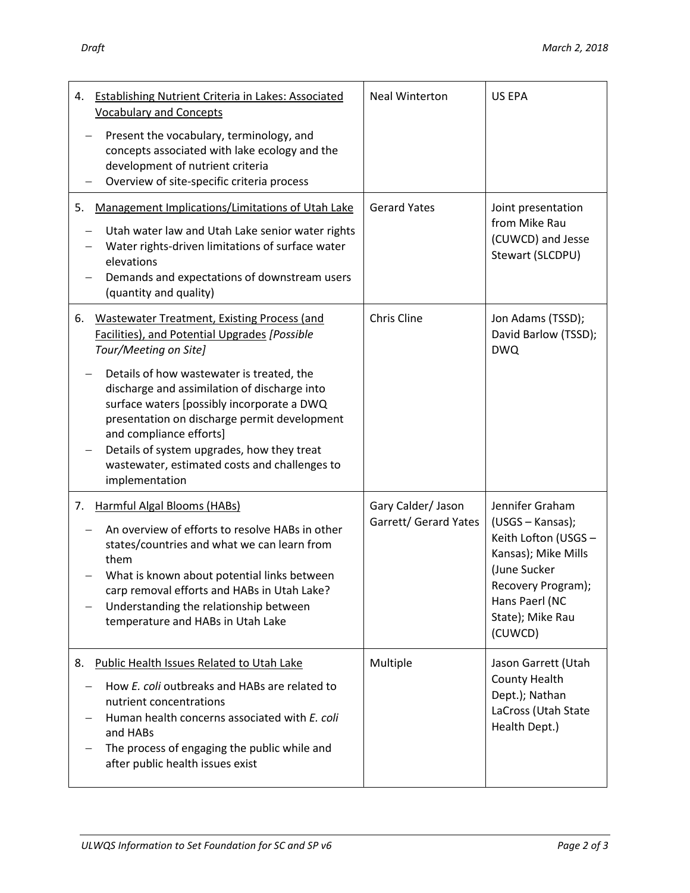| ۰,<br>×<br>I |
|--------------|
|--------------|

| <b>Establishing Nutrient Criteria in Lakes: Associated</b><br>4.<br><b>Vocabulary and Concepts</b><br>Present the vocabulary, terminology, and<br>concepts associated with lake ecology and the<br>development of nutrient criteria<br>Overview of site-specific criteria process                                                                                                                                                                                         | <b>Neal Winterton</b>                       | <b>US EPA</b>                                                                                                                                                             |
|---------------------------------------------------------------------------------------------------------------------------------------------------------------------------------------------------------------------------------------------------------------------------------------------------------------------------------------------------------------------------------------------------------------------------------------------------------------------------|---------------------------------------------|---------------------------------------------------------------------------------------------------------------------------------------------------------------------------|
| Management Implications/Limitations of Utah Lake<br>5.<br>Utah water law and Utah Lake senior water rights<br>Water rights-driven limitations of surface water<br>elevations<br>Demands and expectations of downstream users<br>(quantity and quality)                                                                                                                                                                                                                    | <b>Gerard Yates</b>                         | Joint presentation<br>from Mike Rau<br>(CUWCD) and Jesse<br>Stewart (SLCDPU)                                                                                              |
| 6.<br><b>Wastewater Treatment, Existing Process (and</b><br>Facilities), and Potential Upgrades [Possible<br>Tour/Meeting on Site]<br>Details of how wastewater is treated, the<br>discharge and assimilation of discharge into<br>surface waters [possibly incorporate a DWQ<br>presentation on discharge permit development<br>and compliance efforts]<br>Details of system upgrades, how they treat<br>wastewater, estimated costs and challenges to<br>implementation | <b>Chris Cline</b>                          | Jon Adams (TSSD);<br>David Barlow (TSSD);<br><b>DWQ</b>                                                                                                                   |
| <b>Harmful Algal Blooms (HABs)</b><br>7.<br>An overview of efforts to resolve HABs in other<br>states/countries and what we can learn from<br>them<br>What is known about potential links between<br>carp removal efforts and HABs in Utah Lake?<br>Understanding the relationship between<br>temperature and HABs in Utah Lake                                                                                                                                           | Gary Calder/ Jason<br>Garrett/ Gerard Yates | Jennifer Graham<br>(USGS - Kansas);<br>Keith Lofton (USGS -<br>Kansas); Mike Mills<br>(June Sucker<br>Recovery Program);<br>Hans Paerl (NC<br>State); Mike Rau<br>(CUWCD) |
| 8. Public Health Issues Related to Utah Lake<br>How E. coli outbreaks and HABs are related to<br>nutrient concentrations<br>Human health concerns associated with E. coli<br>and HABs<br>The process of engaging the public while and<br>after public health issues exist                                                                                                                                                                                                 | Multiple                                    | Jason Garrett (Utah<br>County Health<br>Dept.); Nathan<br>LaCross (Utah State<br>Health Dept.)                                                                            |